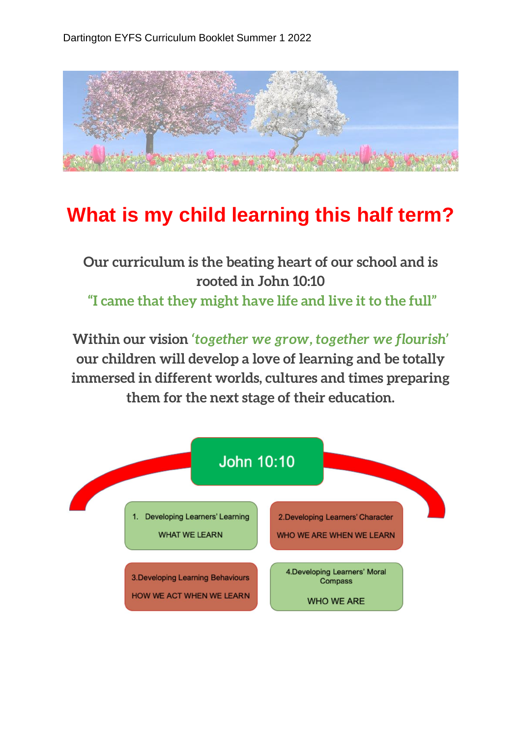

## **What is my child learning this half term?**

## **Our curriculum is the beating heart of our school and is rooted in John 10:10 "I came that they might have life and live it to the full"**

**Within our vision** *'together we grow, together we flourish'*  **our children will develop a love of learning and be totally immersed in different worlds, cultures and times preparing them for the next stage of their education.**

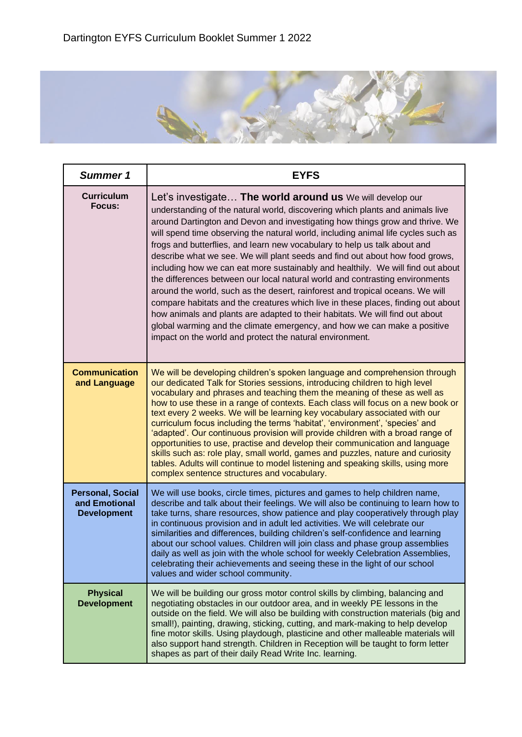

| Summer 1                                                       | <b>EYFS</b>                                                                                                                                                                                                                                                                                                                                                                                                                                                                                                                                                                                                                                                                                                                                                                                                                                                                                                                                                                                                                                  |
|----------------------------------------------------------------|----------------------------------------------------------------------------------------------------------------------------------------------------------------------------------------------------------------------------------------------------------------------------------------------------------------------------------------------------------------------------------------------------------------------------------------------------------------------------------------------------------------------------------------------------------------------------------------------------------------------------------------------------------------------------------------------------------------------------------------------------------------------------------------------------------------------------------------------------------------------------------------------------------------------------------------------------------------------------------------------------------------------------------------------|
| <b>Curriculum</b><br>Focus:                                    | Let's investigate The world around us We will develop our<br>understanding of the natural world, discovering which plants and animals live<br>around Dartington and Devon and investigating how things grow and thrive. We<br>will spend time observing the natural world, including animal life cycles such as<br>frogs and butterflies, and learn new vocabulary to help us talk about and<br>describe what we see. We will plant seeds and find out about how food grows,<br>including how we can eat more sustainably and healthily. We will find out about<br>the differences between our local natural world and contrasting environments<br>around the world, such as the desert, rainforest and tropical oceans. We will<br>compare habitats and the creatures which live in these places, finding out about<br>how animals and plants are adapted to their habitats. We will find out about<br>global warming and the climate emergency, and how we can make a positive<br>impact on the world and protect the natural environment. |
| <b>Communication</b><br>and Language                           | We will be developing children's spoken language and comprehension through<br>our dedicated Talk for Stories sessions, introducing children to high level<br>vocabulary and phrases and teaching them the meaning of these as well as<br>how to use these in a range of contexts. Each class will focus on a new book or<br>text every 2 weeks. We will be learning key vocabulary associated with our<br>curriculum focus including the terms 'habitat', 'environment', 'species' and<br>'adapted'. Our continuous provision will provide children with a broad range of<br>opportunities to use, practise and develop their communication and language<br>skills such as: role play, small world, games and puzzles, nature and curiosity<br>tables. Adults will continue to model listening and speaking skills, using more<br>complex sentence structures and vocabulary.                                                                                                                                                                |
| <b>Personal, Social</b><br>and Emotional<br><b>Development</b> | We will use books, circle times, pictures and games to help children name,<br>describe and talk about their feelings. We will also be continuing to learn how to<br>take turns, share resources, show patience and play cooperatively through play<br>in continuous provision and in adult led activities. We will celebrate our<br>similarities and differences, building children's self-confidence and learning<br>about our school values. Children will join class and phase group assemblies<br>daily as well as join with the whole school for weekly Celebration Assemblies,<br>celebrating their achievements and seeing these in the light of our school<br>values and wider school community.                                                                                                                                                                                                                                                                                                                                     |
| <b>Physical</b><br><b>Development</b>                          | We will be building our gross motor control skills by climbing, balancing and<br>negotiating obstacles in our outdoor area, and in weekly PE lessons in the<br>outside on the field. We will also be building with construction materials (big and<br>small!), painting, drawing, sticking, cutting, and mark-making to help develop<br>fine motor skills. Using playdough, plasticine and other malleable materials will<br>also support hand strength. Children in Reception will be taught to form letter<br>shapes as part of their daily Read Write Inc. learning.                                                                                                                                                                                                                                                                                                                                                                                                                                                                      |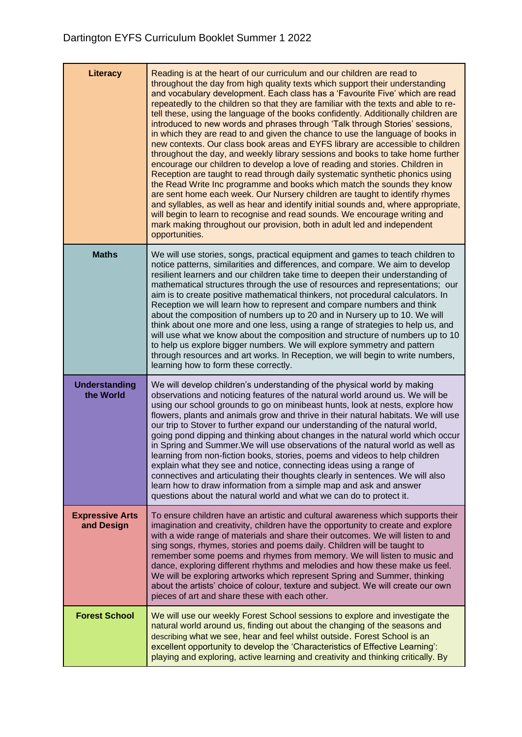| Literacy                             | Reading is at the heart of our curriculum and our children are read to<br>throughout the day from high quality texts which support their understanding<br>and vocabulary development. Each class has a 'Favourite Five' which are read<br>repeatedly to the children so that they are familiar with the texts and able to re-<br>tell these, using the language of the books confidently. Additionally children are<br>introduced to new words and phrases through 'Talk through Stories' sessions,<br>in which they are read to and given the chance to use the language of books in<br>new contexts. Our class book areas and EYFS library are accessible to children<br>throughout the day, and weekly library sessions and books to take home further<br>encourage our children to develop a love of reading and stories. Children in<br>Reception are taught to read through daily systematic synthetic phonics using<br>the Read Write Inc programme and books which match the sounds they know<br>are sent home each week. Our Nursery children are taught to identify rhymes<br>and syllables, as well as hear and identify initial sounds and, where appropriate,<br>will begin to learn to recognise and read sounds. We encourage writing and<br>mark making throughout our provision, both in adult led and independent<br>opportunities. |
|--------------------------------------|-------------------------------------------------------------------------------------------------------------------------------------------------------------------------------------------------------------------------------------------------------------------------------------------------------------------------------------------------------------------------------------------------------------------------------------------------------------------------------------------------------------------------------------------------------------------------------------------------------------------------------------------------------------------------------------------------------------------------------------------------------------------------------------------------------------------------------------------------------------------------------------------------------------------------------------------------------------------------------------------------------------------------------------------------------------------------------------------------------------------------------------------------------------------------------------------------------------------------------------------------------------------------------------------------------------------------------------------------------|
| <b>Maths</b>                         | We will use stories, songs, practical equipment and games to teach children to<br>notice patterns, similarities and differences, and compare. We aim to develop<br>resilient learners and our children take time to deepen their understanding of<br>mathematical structures through the use of resources and representations; our<br>aim is to create positive mathematical thinkers, not procedural calculators. In<br>Reception we will learn how to represent and compare numbers and think<br>about the composition of numbers up to 20 and in Nursery up to 10. We will<br>think about one more and one less, using a range of strategies to help us, and<br>will use what we know about the composition and structure of numbers up to 10<br>to help us explore bigger numbers. We will explore symmetry and pattern<br>through resources and art works. In Reception, we will begin to write numbers,<br>learning how to form these correctly.                                                                                                                                                                                                                                                                                                                                                                                                |
| <b>Understanding</b><br>the World    | We will develop children's understanding of the physical world by making<br>observations and noticing features of the natural world around us. We will be<br>using our school grounds to go on minibeast hunts, look at nests, explore how<br>flowers, plants and animals grow and thrive in their natural habitats. We will use<br>our trip to Stover to further expand our understanding of the natural world,<br>going pond dipping and thinking about changes in the natural world which occur<br>in Spring and Summer. We will use observations of the natural world as well as<br>learning from non-fiction books, stories, poems and videos to help children<br>explain what they see and notice, connecting ideas using a range of<br>connectives and articulating their thoughts clearly in sentences. We will also<br>learn how to draw information from a simple map and ask and answer<br>questions about the natural world and what we can do to protect it.                                                                                                                                                                                                                                                                                                                                                                             |
| <b>Expressive Arts</b><br>and Design | To ensure children have an artistic and cultural awareness which supports their<br>imagination and creativity, children have the opportunity to create and explore<br>with a wide range of materials and share their outcomes. We will listen to and<br>sing songs, rhymes, stories and poems daily. Children will be taught to<br>remember some poems and rhymes from memory. We will listen to music and<br>dance, exploring different rhythms and melodies and how these make us feel.<br>We will be exploring artworks which represent Spring and Summer, thinking<br>about the artists' choice of colour, texture and subject. We will create our own<br>pieces of art and share these with each other.                                                                                                                                                                                                                                                                                                                                                                                                                                                                                                                                                                                                                                          |
| <b>Forest School</b>                 | We will use our weekly Forest School sessions to explore and investigate the<br>natural world around us, finding out about the changing of the seasons and<br>describing what we see, hear and feel whilst outside. Forest School is an<br>excellent opportunity to develop the 'Characteristics of Effective Learning':<br>playing and exploring, active learning and creativity and thinking critically. By                                                                                                                                                                                                                                                                                                                                                                                                                                                                                                                                                                                                                                                                                                                                                                                                                                                                                                                                         |